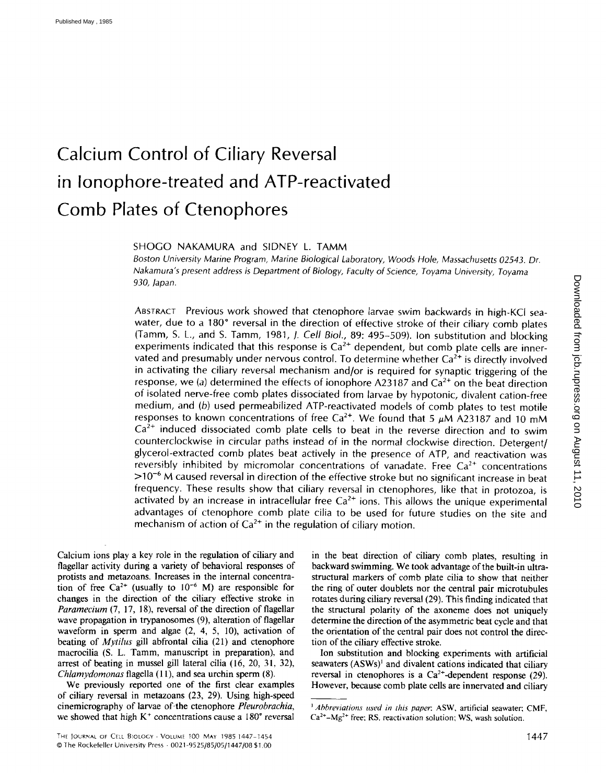# **Calcium Control of Ciliary Reversal in ionophore-treated and ATP-reactivated Comb Plates of Ctenophores**

SHOGO NAKAMURA and SIDNEY L. TAMM

*Boston University Marine Program, Marine Biological Laboratory, Woods Hole, Massachusetts 02543. Dr. Nakamura's present address is Department of Biology, Faculty of Science, Toyama University, Toyama 930, Japan.* 

ABSTRACT Previous work showed that ctenophore larvae swim backwards in high-KCI seawater, due to a 180° reversal in the direction of effective stroke of their ciliary comb plates (Tamm, S. L., and S. Tamm, 1981, *J. Cell Biol.,* 89: 495-509). Ion substitution and blocking experiments indicated that this response is  $Ca<sup>2+</sup>$  dependent, but comb plate cells are innervated and presumably under nervous control. To determine whether  $Ca<sup>2+</sup>$  is directly involved in activating the ciliary reversal mechanism and/or is required for synaptic triggering of the response, we (a) determined the effects of ionophore A23187 and  $Ca<sup>2+</sup>$  on the beat direction of isolated nerve-free comb plates dissociated from larvae by hypotonic, divalent cation-free medium, and (b) used permeabilized ATP-reactivated models of comb plates to test motile responses to known concentrations of free Ca<sup>2+</sup>. We found that 5  $\mu$ M A23187 and 10 mM  $Ca<sup>2+</sup>$  induced dissociated comb plate cells to beat in the reverse direction and to swim counterclockwise in circular paths instead of in the normal clockwise direction. Detergent/ glycerol-extracted comb plates beat actively in the presence of ATP, and reactivation was reversibly inhibited by micromolar concentrations of vanadate. Free  $Ca<sup>2+</sup>$  concentrations  $>10^{-6}$  M caused reversal in direction of the effective stroke but no significant increase in beat frequency. These results show that ciliary reversal in ctenophores, like that in protozoa, is activated by an increase in intracellular free  $Ca<sup>2+</sup>$  ions. This allows the unique experimental advantages of ctenophore comb plate cilia to be used for future studies on the site and mechanism of action of  $Ca^{2+}$  in the regulation of ciliary motion.

Calcium ions play a key role in the regulation of ciliary and flagellar activity during a variety of behavioral responses of protists and metazoans. Increases in the internal concentration of free Ca<sup>2+</sup> (usually to  $10^{-6}$  M) are responsible for changes in the direction of the ciliary effective stroke in *Paramecium* (7, 17, 18), reversal of the direction of flagellar wave propagation in trypanosomes (9), alteration of flagellar waveform in sperm and algae (2, 4, 5, 10), activation of beating of *Mytilus* gill abfrontal cilia (21) and ctenophore macrocilia (S. L. Tamm, manuscript in preparation), and arrest of beating in mussel gill lateral cilia (16, 20, 31, 32), *Chlamydomonas* flagella (11), and sea urchin sperm (8).

We previously reported one of the first clear examples of ciliary reversal in metazoans (23, 29). Using high-speed cinemicrography of larvae of-the ctenophore *Pleurobrachia,*  we showed that high  $K^+$  concentrations cause a 180 $^{\circ}$  reversal

The Journal of Cell Biology - Volume 100 May 1985 1447-1454  $1447$ © The Rockefeller University Press • 0021-952518S/0511447/08 \$1,00

in the beat direction of ciliary comb plates, resulting in backward swimming. We took advantage of the built-in ultrastructural markers of comb plate cilia to show that neither the ring of outer doublets nor the central pair microtubules rotates during ciliary reversal (29). This finding indicated that the structural polarity of the axoneme does not uniquely determine the direction of the asymmetric beat cycle and that the orientation of the central pair does not control the direction of the ciliary effective stroke.

Ion substitution and blocking experiments with artificial seawaters (ASWs)<sup>1</sup> and divalent cations indicated that ciliary reversal in ctenophores is a  $Ca^{2+}$ -dependent response (29). However, because comb plate cells are innervated and ciliary

*J Abbreviations used in this paper.* ASW, artificial seawater; CMF,  $Ca<sup>2+</sup>-Mg<sup>2+</sup>$  free; RS, reactivation solution; WS, wash solution.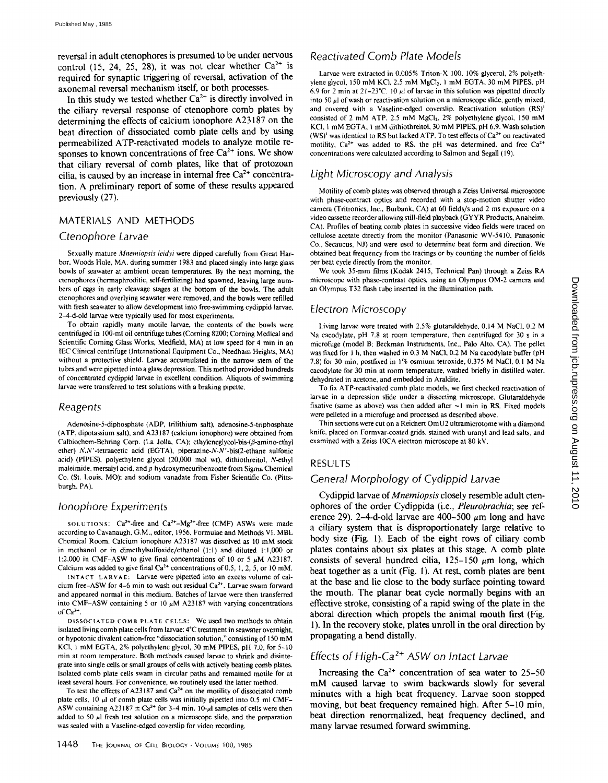reversal in adult ctenophores is presumed to be under nervous control (15, 24, 25, 28), it was not clear whether  $Ca^{2+}$  is required for synaptic triggering of reversal, activation of the axonemal reversal mechanism itself, or both processes.

In this study we tested whether  $Ca^{2+}$  is directly involved in the ciliary reversal response of ctenophore comb plates by determining the effects of calcium ionophore A23187 on the beat direction of dissociated comb plate cells and by using permeabilized ATP-reactivated models to analyze motile responses to known concentrations of free  $Ca^{2+}$  ions. We show that ciliary reversal of comb plates, like that of protozoan cilia, is caused by an increase in internal free  $Ca^{2+}$  concentration, A preliminary report of some of these results appeared previously (27).

## MATERIALS AND METHODS

## *Ctenophore Larvae*

Sexually mature *Mnemiopsis leidyi* were dipped carefully from Great Harbor. Woods Hole, MA, during summer 1983 and placed singly into large glass bowls of seawater at ambient ocean temperatures. By the next morning, the ctenophores (hermaphroditic, self-fertilizing) had spawned, leaving large numbers of eggs in early cleavage stages at the bottom of the bowls. The adult ctenophores and overlying seawater were removed, and the bowls were refilled with fresh seawater to allow development into free-swimming cydippid larvae. 2-4-d-old larvae were typically used for most experiments.

To obtain rapidly many motile larvae, the contents of the bowls were centrifuged in 100-ml oil centrifuge tubes (Coming 8200; Coming Medical and Scientific Corning Glass Works, Medfield, MA) at low speed for 4 min in an IEC Clinical centrifuge (International Equipment Co., Needham Heights, MA) without a protective shield. Larvae accumulated in the narrow stem of the tubes and were pipetted into a glass depression. This method provided hundreds of concentrated cydippid larvae in excellent condition. Aliquots of swimming larvae were transferred to test solutions with a braking pipette.

#### *Reagents*

Adenosine-5-diphosphate (ADP, trilithium salt), adenosine-5-triphosphate (ATP, dipotassium salt), and A23187 (calcium ionophore) were obtained from Calbiochem-Behring Corp. (La Jolla, CA); ethyleneglycol-bis- $(\beta$ -amino-ethyl ether) *N,N'-tetraacetic* acid (EGTA), piperazine-N-N'-bis(2-ethane sulfonic acid) (PIPES), polyethylene glycol (20,000 mol wt), dithiothreitol, N-ethyl maleimide, mersalyl acid, and p-hydroxymecuribenzoate from Sigma Chemical Co. (St. Louis, MO); and sodium vanadate from Fisher Scientific Co. (Pittsburgh, PA).

### *Ionophore Experiments*

SOLUTIONS:  $Ca^{2+}$ -free and  $Ca^{2+}-Mg^{2+}$ -free (CMF) ASWs were made according to Cavanaugh, G.M., editor, 1956, Formulae and Methods Vl. MBL Chemical Room. Calcium ionophore A23187 was dissolved as 10 mM stock in methanol or in dimethylsulfoxide/ethanol (l:l) and diluted 1:1,000 or 1:2,000 in CMF-ASW to give final concentrations of 10 or 5  $\mu$ M A23187. Calcium was added to give final  $Ca^{2+}$  concentrations of 0.5, 1, 2, 5, or 10 mM.

INTACT LARVAE; Larvae were pipetted into an excess volume of calcium free-ASW for 4-6 min to wash out residual  $Ca<sup>2+</sup>$ . Larvae swam forward and appeared normal in this medium. Batches of larvae were then transferred into CMF-ASW containing 5 or 10  $\mu$ M A23187 with varying concentrations of  $Ca<sup>2+</sup>$ .

DISSOCIATED COMB PLATE CELLS: We used two methods to obtain isolated living comb plate cells from larvae: 4"C treatment in seawater overnight, or hypotonic divalent cation-free "dissociation solution," consisting of 150 mM KCl, 1 mM EGTA, 2% polyethylene glycol, 30 mM PIPES, pH 7.0, for 5-10 min at room temperature. Both methods caused larvae to shrink and disintegrate into single cells or small groups of cells with actively beating comb plates. Isolated comb plate cells swam in circular paths and remained motile for at least several hours. For convenience, we routinely used the latter method.

To test the effects of A23187 and  $Ca<sup>2+</sup>$  on the motility of dissociated comb plate cells, 10  $\mu$ l of comb plate cells was initially pipetted into 0.5 ml CMF-ASW containing A23187  $\pm$  Ca<sup>2+</sup> for 3-4 min. 10-µl samples of cells were then added to 50  $\mu$ l fresh test solution on a microscope slide, and the preparation was sealed with a Vaseline-edged coverslip for video recording.

## *Reactivated Comb Plate Models*

Larvae were extracted in 0.005% Triton-X 100, 10% glycerol, 2% polyethyiene glycol, 150 mM KCl, 2.5 mM MgCl<sub>2</sub>, 1 mM EGTA, 30 mM PIPES. pH 6.9 for 2 min at  $21-23$ °C. 10  $\mu$  of larvae in this solution was pipetted directly into 50  $\mu$ 1 of wash or reactivation solution on a microscope slide, gently mixed, and covered with a Vaseline-edged coverslip. Reactivation solution (RS)' consisted of 2 mM ATP, 2.5 mM MgCl<sub>2</sub>, 2% polyethylene glycol, 150 mM KCI, 1 mM EGTA, 1 mM dithiothreitol, 30 mM PIPES, pH 6.9. Wash solution (WS)<sup> $\pm$ </sup> was identical to RS but lacked ATP. To test effects of Ca<sup>2+</sup> on reactivated motility,  $Ca^{2+}$  was added to RS, the pH was determined, and free  $Ca^{2+}$ concentrations were calculated according to Salmon and Segall (19).

#### *Light Microscopy and Analysis*

Motility of comb plates was observed through a Zeiss Universal microscope with phase-contract optics and recorded with a stop-motion shutter video camera (Tritronics, Inc., Burbank, CA) at 60 fields/s and 2 ms exposure on a video cassette recorder allowing still-field playback (GYYR Products, Anaheim, CA). Profiles of beating comb plates in successive video fields were traced on cellulose acetate directly from the monitor (Panasonic WV-5410, Panasonic Co., Secaucus, NJ) and were used to determine beat form and direction. We obtained beat frequency from the tracings or by counting the number of fields per beat cycle directly from the monitor.

We took 35-mm films (Kodak 2415, Technical Pan) through a Zeiss RA microscope with phase-contrast optics, using an Olympus OM-2 camera and an Olympus T32 flash tube inserted in the illumination path.

#### *Electron Microscopy*

Living larvae were treated with 2.5% glutaraldehyde, 0.14 M NaC1, 0.2 M Na cacodylate, pH 7.8 at room temperature, then centrifuged for  $30 \sin a$ microfuge (model B; Beckman Instruments, Inc., Palo Alto, CA). The pellet was fixed for I h, then washed in 0.3 M NaC1, 0.2 M Na cacodylate buffer (pH 7.8) for 30 min, postfixed in 1% osmium tetroxide, 0.375 M NaCl, 0.1 M Na cacodylate for 30 min at room temperature, washed briefly in distilled water, dehydrated in acetone, and embedded in Araldite.

To fix ATP-reactivated comb plate models, we first checked reactivation of larvae in a depression slide under a dissecting microscope. Glutaraldehyde fixative (same as above) was then added after  $\sim$ 1 min in RS. Fixed models were pelleted in a microfuge and processed as described above.

Thin sections were cut on a Reichert OmU2 ultramicrotome with a diamond knife, placed on Formvar-coated grids, stained with uranyl and lead salts, and examined with a Zeiss 10CA electron microscope at 80 kV.

#### RESULTS

### *General Morphology* of *Cydippid Larvae*

Cydippid larvae *of Mnemiopsis* closely resemble adult ctenophores of the order Cydippida (i.e., *Pleurobrachia;* see reference 29). 2-4-d-old larvae are 400-500  $\mu$ m long and have a ciliary system that is disproportionately large relative to body size (Fig. 1). Each of the eight rows of ciliary comb plates contains about six plates at this stage. A comb plate consists of several hundred cilia,  $125-150 \mu m$  long, which beat together as a unit (Fig. 1). At rest, comb plates are bent at the base and lie close to the body surface pointing toward the mouth. The planar beat cycle normally begins with an effective stroke, consisting of a rapid swing of the plate in the aboral direction which propels the animal mouth first (Fig. 1). In the recovery stoke, plates unroll in the oral direction by propagating a bend distally.

## *Effects of High-Ca 2+ ASW on Intact Larvae*

Increasing the  $Ca^{2+}$  concentration of sea water to 25-50 mM caused larvae to swim backwards slowly for several minutes with a high beat frequency. Larvae soon stopped moving, but beat frequency remained high. After 5-10 min, beat direction renormalized, beat frequency declined, and many larvae resumed forward swimming.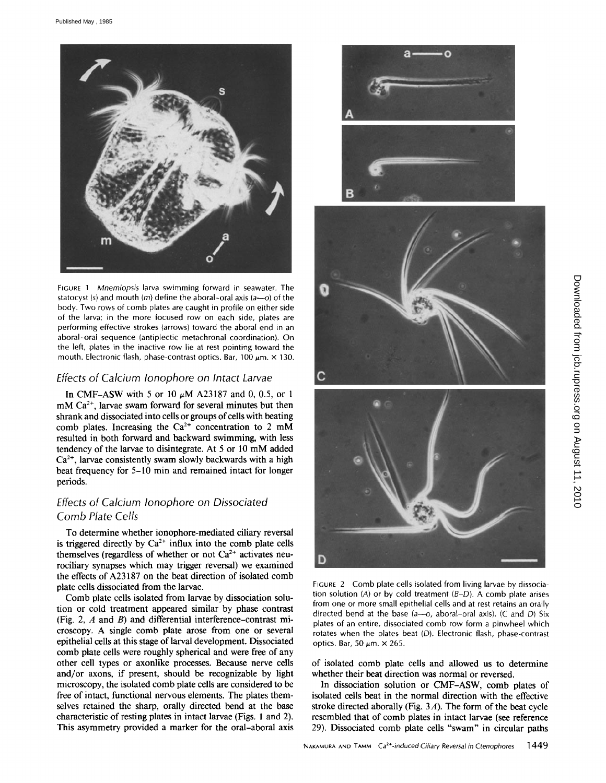

FIGURE 1 *Mnemiopsis* larva swimming forward in seawater. The statocyst (s) and mouth  $(m)$  define the aboral-oral axis (a-o) of the body. Two rows of comb plates are caught in profile on either side of the larva: in the more focused row on each side, plates are performing effective strokes (arrows) toward the aboral end in an aboral-oral sequence (antiplectic metachronal coordination). On the left, plates in the inactive row lie at rest pointing toward the mouth. Electronic flash, phase-contrast optics. Bar, 100  $\mu$ m.  $\times$  130.

## *Effects of Calcium Ionophore on Intact Larvae*

In CMF-ASW with 5 or 10  $\mu$ M A23187 and 0, 0.5, or 1  $mM Ca<sup>2+</sup>$ , larvae swam forward for several minutes but then shrank and dissociated into cells or groups of cells with beating comb plates. Increasing the  $Ca^{2+}$  concentration to 2 mM resulted in both forward and backward swimming, with less tendency of the larvae to disintegrate. At 5 or 10 mM added  $Ca<sup>2+</sup>$ , larvae consistently swam slowly backwards with a high beat frequency for 5-10 min and remained intact for longer periods.

# *Effects of Calcium Ionophore on Dissociated Comb Plate Cells*

To determine whether ionophore-mediated ciliary reversal is triggered directly by  $Ca<sup>2+</sup>$  influx into the comb plate cells themselves (regardless of whether or not  $Ca^{2+}$  activates neurociliary synapses which may trigger reversal) we examined the effects of A23187 on the beat direction of isolated comb plate cells dissociated from the larvae.

Comb plate cells isolated from larvae by dissociation solution or cold treatment appeared similar by phase contrast (Fig. 2,  $A$  and  $B$ ) and differential interference-contrast microscopy. A single comb plate arose from one or several epithelial cells at this stage of larval development. Dissociated comb plate cells were roughly spherical and were free of any other cell types or axonlike processes. Because nerve cells and/or axons, if present, should be recognizable by light microscopy, the isolated comb plate cells are considered to be free of intact, functional nervous elements. The plates themselves retained the sharp, orally directed bend at the base characteristic of resting plates in intact larvae (Figs. l and 2). This asymmetry provided a marker for the oral-aboral axis







FIGURE 2 Comb plate cells isolated from living larvae by dissociation solution (A) or by cold treatment *(B-D).* A comb plate arises from one or more small epithelial cells and at rest retains an orally directed bend at the base  $(a--o, aboral-oral axis)$ . (C and D) Six plates of an entire, dissociated comb row form a pinwheel which rotates when the plates beat (D). Electronic flash, phase-contrast optics. Bar, 50  $\mu$ m.  $\times$  265.

of isolated comb plate cells and allowed us to determine whether their beat direction was normal or reversed.

In dissociation solution or CMF-ASW, comb plates of isolated cells beat in the normal direction with the effective stroke directed aborally (Fig.  $3A$ ). The form of the beat cycle resembled that of comb plates in intact larvae (see reference 29). Dissociated comb plate cells "swam" in circular paths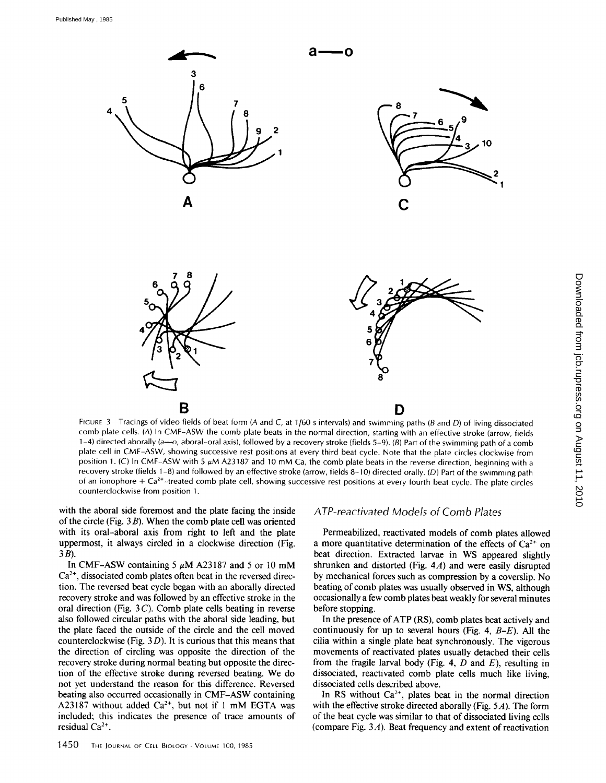

FIGURE 3 Tracings of video fields of beat form (A and C, at 1/60 s intervals) and swimming paths (B and D) of living dissociated comb plate cells. (A) In CMF-ASW the comb plate beats in the normal direction, starting with an effective stroke (arrow, fields 1-4) directed aborally (a--o, aboral-oral axis), followed by a recovery stroke (fields 5-9). (B) Part of the swimming path of a comb plate cell in CMF-ASW, showing successive rest positions at every third beat cycle. Note that the plate circles clockwise from position 1. (C) In CMF-ASW with 5  $\mu$ M A23187 and 10 mM Ca, the comb plate beats in the reverse direction, beginning with a recovery stroke (fields 1-8) and followed by an effective stroke (arrow, fields 8-10) directed orally. (D) Part of the swimming path of an ionophore  $+ Ca<sup>2+</sup>$ -treated comb plate cell, showing successive rest positions at every fourth beat cycle. The plate circles counterclockwise from position 1.

with the aboral side foremost and the plate facing the inside of the circle (Fig.  $3B$ ). When the comb plate cell was oriented with its oral-aboral axis from right to left and the plate uppermost, it always circled in a clockwise direction (Fig. 3B).

In CMF-ASW containing 5  $\mu$ M A23187 and 5 or 10 mM  $Ca<sup>2+</sup>$ , dissociated comb plates often beat in the reversed direction. The reversed beat cycle began with an aborally directed recovery stroke and was followed by an effective stroke in the oral direction (Fig.  $3C$ ). Comb plate cells beating in reverse also followed circular paths with the aboral side leading, but the plate faced the outside of the circle and the cell moved counterclockwise (Fig.  $3D$ ). It is curious that this means that the direction of circling was opposite the direction of the recovery stroke during normal beating but opposite the direction of the effective stroke during reversed beating. We do not yet understand the reason for this difference. Reversed beating also occurred occasionally in CMF-ASW containing A23187 without added  $Ca^{2+}$ , but not if 1 mM EGTA was included; this indicates the presence of trace amounts of residual  $Ca<sup>2+</sup>$ .

## *A TP-reactivated Models of Comb Plates*

Permeabilized, reactivated models of comb plates allowed a more quantitative determination of the effects of  $Ca^{2+}$  on beat direction. Extracted larvae in WS appeared slightly shrunken and distorted (Fig. 4A) and were easily disrupted by mechanical forces such as compression by a coverslip. No beating of comb plates was usually observed in WS, although occasionally a few comb plates beat weakly for several minutes before stopping.

In the presence of ATP (RS), comb plates beat actively and continuously for up to several hours (Fig. 4, *B-E).* All the cilia within a single plate beat synchronously. The vigorous movements of reactivated plates usually detached their cells from the fragile larval body (Fig. 4,  $D$  and  $E$ ), resulting in dissociated, reactivated comb plate cells much like living, dissociated cells described above.

In RS without  $Ca<sup>2+</sup>$ , plates beat in the normal direction with the effective stroke directed aborally (Fig.  $5A$ ). The form of the beat cycle was similar to that of dissociated living cells (compare Fig. 3A). Beat frequency and extent of reactivation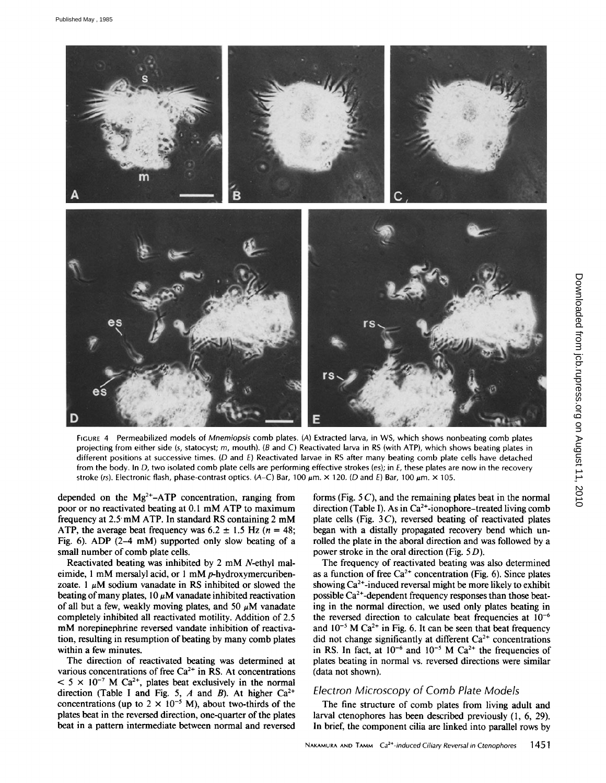

FIGURE 4 Permeabilized models of *Mnemiopsis* comb plates. (A) Extracted larva, in WS, which shows nonbeating comb plates projecting from either side (s, statocyst; m, mouth). (B and C) Reactivated larva in RS (with ATP), which shows beating plates in different positions at successive times. (D and E) Reactivated larvae in RS after many beating comb plate cells have detached from the body. In D, two isolated comb plate cells are performing effective strokes (es); in E, these plates are now in the recovery stroke (rs). Electronic flash, phase-contrast optics. (A-C) Bar, 100  $\mu$ m. × 120. (D and E) Bar, 100  $\mu$ m. × 105.

depended on the  $Mg^{2+}-ATP$  concentration, ranging from poor or no reactivated beating at 0.1 mM ATP to maximum frequency at 2.5"mM ATP. In standard RS containing 2 mM ATP, the average beat frequency was  $6.2 \pm 1.5$  Hz ( $n = 48$ ; Fig. 6). ADP (2-4 mM) supported only slow beating of a small number of comb plate cells.

Reactivated beating was inhibited by 2 mM N-ethyl maleimide, 1 mM mersalyl acid, or 1 mM p-hydroxymercuribenzoate.  $1 \mu M$  sodium vanadate in RS inhibited or slowed the beating of many plates,  $10 \mu M$  vanadate inhibited reactivation of all but a few, weakly moving plates, and 50  $\mu$ M vanadate completely inhibited all reactivated motility. Addition of 2.5 mM norepinephrine reversed vandate inhibition of reactivation, resulting in resumption of beating by many comb plates within a few minutes.

The direction of reactivated beating was determined at various concentrations of free  $Ca<sup>2+</sup>$  in RS. At concentrations  $< 5 \times 10^{-7}$  M Ca<sup>2+</sup>, plates beat exclusively in the normal direction (Table I and Fig. 5, A and B). At higher  $Ca^{2+}$ concentrations (up to  $2 \times 10^{-5}$  M), about two-thirds of the plates beat in the reversed direction, one-quarter of the plates beat in a pattern intermediate between normal and reversed

forms (Fig.  $5C$ ), and the remaining plates beat in the normal direction (Table I). As in  $Ca<sup>2+</sup>$ -ionophore-treated living comb plate cells (Fig.  $3C$ ), reversed beating of reactivated plates began with a distally propagated recovery bend which unrolled the plate in the aboral direction and was followed by a power stroke in the oral direction (Fig. 5 D).

The frequency of reactivated beating was also determined as a function of free  $Ca^{2+}$  concentration (Fig. 6). Since plates showing  $Ca^{2+}$ -induced reversal might be more likely to exhibit possible  $Ca^{2+}$ -dependent frequency responses than those beating in the normal direction, we used only plates beating in the reversed direction to calculate beat frequencies at  $10^{-6}$ and  $10^{-5}$  M Ca<sup>2+</sup> in Fig. 6. It can be seen that beat frequency did not change significantly at different  $Ca<sup>2+</sup>$  concentrations in RS. In fact, at  $10^{-6}$  and  $10^{-5}$  M Ca<sup>2+</sup> the frequencies of plates beating in normal vs. reversed directions were similar (data not shown).

## *Electron Microscopy of Comb Plate Models*

The fine structure of comb plates from living adult and larval ctenophores has been described previously (1, 6, 29). In brief, the component cilia are linked into parallel rows by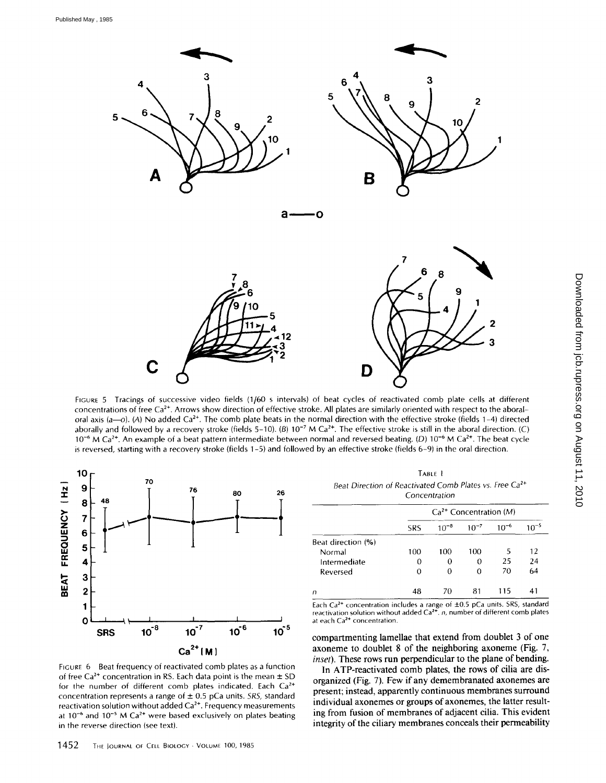

FIGURE 5 Tracings of successive video fields (1/60 s intervals) of beat cycles of reactivated comb plate cells at different concentrations of free  $Ca<sup>2+</sup>$ . Arrows show direction of effective stroke. All plates are similarly oriented with respect to the aboraloral axis (a--o). (A) No added Ca<sup>2+</sup>. The comb plate beats in the normal direction with the effective stroke (fields 1-4) directed aborally and followed by a recovery stroke (fields  $5-10$ ). (B)  $10^{-7}$  M Ca<sup>2+</sup>. The effective stroke is still in the aboral direction. (C)  $10^{-6}$  M Ca<sup>2+</sup>. An example of a beat pattern intermediate between normal and reversed beating. (D)  $10^{-6}$  M Ca<sup>2+</sup>. The beat cycle is reversed, starting with a recovery stroke (fields 1-5) and followed by an effective stroke (fields 6-9) in the oral direction.



TABLE I Beat Direction of Reactivated Comb Plates vs. Free Ca<sup>2+</sup> *Concentration* 

|                    | $Ca2+$ Concentration (M) |           |           |           |                  |
|--------------------|--------------------------|-----------|-----------|-----------|------------------|
|                    | <b>SRS</b>               | $10^{-8}$ | $10^{-7}$ | $10^{-6}$ | 1∩ <sup>–5</sup> |
| Beat direction (%) |                          |           |           |           |                  |
| Normal             | 100                      | 100       | 100       | 5         | 12               |
| Intermediate       | 0                        |           | 0         | 25        | 24               |
| Reversed           | O                        | 0         | O         | 70        | 64               |
| n                  | 48                       |           | 81        | 115       | 4,               |

Each  $Ca<sup>2+</sup>$  concentration includes a range of  $\pm 0.5$  pCa units. SRS, standard reactivation solution without added  $Ca^{2+}$ . n, number of different comb plates at each Ca<sup>2+</sup> concentration.

compartmenting lamellae that extend from doublet 3 of one axoneme to doublet 8 of the neighboring axoneme (Fig. 7, *inset*). These rows run perpendicular to the plane of bending.

In ATP-reactivated comb plates, the rows of cilia are disorganized (Fig. 7). Few if any demembranated axonemes are present; instead, apparently continuous membranes surround individual axonemes or groups of axonemes, the latter resulting from fusion of membranes of adjacent cilia. This evident integrity of the ciliary membranes conceals their permeability

FIGURE 6 Beat frequency of reactivated comb plates as a function of free  $Ca^{2+}$  concentration in RS. Each data point is the mean  $\pm$  SD for the number of different comb plates indicated. Each  $Ca<sup>2+</sup>$ concentration represents a range of \_+ 0.5 pCa units. *SRS,* standard reactivation solution without added  $Ca<sup>2+</sup>$ . Frequency measurements at  $10^{-6}$  and  $10^{-5}$  M Ca<sup>2+</sup> were based exclusively on plates beating in the reverse direction (see text).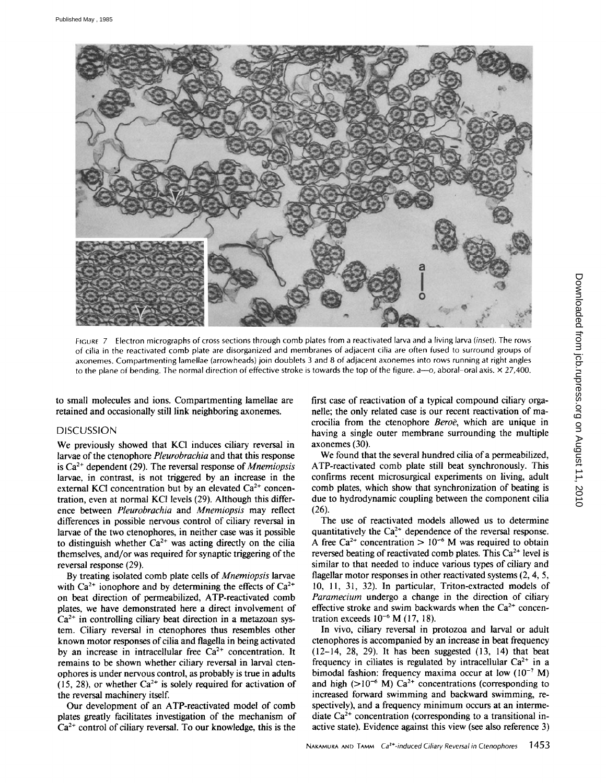

FIGURE 7 Electron micrographs of cross sections through comb plates from a reactivated larva and a living larva *(inset).* The rows of cilia in the reactivated comb plate are disorganized and membranes of adjacent cilia are often fused to surround groups of axonemes. Compartmenting lamellae (arrowheads) join doublets 3 and 8 of adjacent axonemes into rows running at right angles to the plane of bending. The normal direction of effective stroke is towards the top of the figure. a-o, aboral-oral axis. × 27,400.

to small molecules and ions. Compartmenting lamellae are retained and occasionally still link neighboring axonemes.

#### DISCUSSION

We previously showed that KCl induces ciliary reversal in larvae of the ctenophore *Pleurobrachia* and that this response is Ca 2÷ dependent (29). The reversal response *of Mnemiopsis*  larvae, in contrast, is not triggered by an increase in the external KCI concentration but by an elevated  $Ca<sup>2+</sup>$  concentration, even at normal KC1 levels (29). Although this difference between *Pleurobrachia* and *Mnemiopsis* may reflect differences in possible nervous control of ciliary reversal in larvae of the two ctenophores, in neither case was it possible to distinguish whether  $Ca^{2+}$  was acting directly on the cilia themselves, and/or was required for synaptic triggering of the reversal response (29).

By treating isolated comb plate cells of *Mnemiopsis* larvae with  $Ca^{2+}$  ionophore and by determining the effects of  $Ca^{2+}$ on beat direction of permeabilized, ATP-reactivated comb plates, we have demonstrated here a direct involvement of  $Ca<sup>2+</sup>$  in controlling ciliary beat direction in a metazoan system. Ciliary reversal in ctenophores thus resembles other known motor responses of cilia and flagella in being activated by an increase in intracellular free  $Ca<sup>2+</sup>$  concentration. It remains to be shown whether ciliary reversal in larval ctenophores is under nervous control, as probably is true in adults (15, 28), or whether  $Ca^{2+}$  is solely required for activation of the reversal machinery itself.

Our development of an ATP-reactivated model of comb plates greatly facilitates investigation of the mechanism of  $Ca<sup>2+</sup>$  control of ciliary reversal. To our knowledge, this is the first case of reactivation of a typical compound ciliary organelle; the only related case is our recent reactivation of macrocilia from the ctenophore *Berod,* which are unique in having a single outer membrane surrounding the multiple axonemes (30).

We found that the several hundred cilia of a permeabilized, ATP-reactivated comb plate still beat synchronously. This confirms recent microsurgical experiments on living, adult comb plates, which show that synchronization of beating is due to hydrodynamic coupling between the component cilia (26).

The use of reactivated models allowed us to determine quantitatively the  $Ca^{2+}$  dependence of the reversal response. A free Ca<sup>2+</sup> concentration >  $10^{-6}$  M was required to obtain reversed beating of reactivated comb plates. This  $Ca^{2+}$  level is similar to that needed to induce various types of ciliary and flagellar motor responses in other reactivated systems (2, 4, 5, 10, 11, 31, 32). In particular, Triton-extracted models of *Paramecium* undergo a change in the direction of ciliary effective stroke and swim backwards when the  $Ca^{2+}$  concentration exceeds  $10^{-6}$  M (17, 18).

In vivo, ciliary reversal in protozoa and larval or adult ctenophores is accompanied by an increase in beat frequency (12-14, 28, 29). It has been suggested (13, 14) that beat frequency in ciliates is regulated by intracellular  $Ca^{2+}$  in a bimodal fashion: frequency maxima occur at low  $(10^{-7}$  M) and high  $(>10^{-6}$  M) Ca<sup>2+</sup> concentrations (corresponding to increased forward swimming and backward swimming, respectively), and a frequency minimum occurs at an intermediate  $Ca<sup>2+</sup>$  concentration (corresponding to a transitional inactive state). Evidence against this view (see also reference 3)